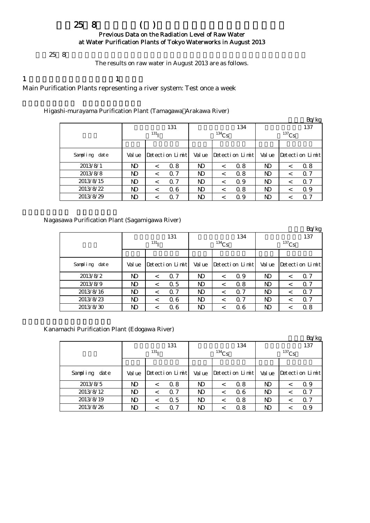# $258$  ( ) Previous Data on the Radiation Level of Raw Water at Water Purification Plants of Tokyo Waterworks in August 2013

 $258$ 

The results on raw water in August 2013 are as follows.

1  $\qquad \qquad$  1

Main Purification Plants representing a river system: Test once a week

Higashi-murayama Purification Plant (Tamagawa Arakawa River)

|               |        |                  |                 |                |            |                 |            |         | Bq/kg           |  |
|---------------|--------|------------------|-----------------|----------------|------------|-----------------|------------|---------|-----------------|--|
|               |        |                  | 131             |                |            | 134             | 137        |         |                 |  |
|               |        | 131 <sub>T</sub> |                 |                | $^{134}Cs$ |                 | $^{137}Cs$ |         |                 |  |
|               |        |                  |                 |                |            |                 |            |         |                 |  |
| Sampling date | Val ue |                  | Detection Limit | Val ue         |            | Detection Limit | Val ue     |         | Detection Limit |  |
| 2013/8/1      | ND     | $\,<\,$          | 0.8             | ND             | $\,<\,$    | 0.8             | ND         | $\,<\,$ | 0.8             |  |
| 2013/8/8      | ND     | $\,<\,$          | 0.7             | N <sub>D</sub> | $\,<\,$    | 0.8             | ND         | $\,<\,$ | 0.7             |  |
| 2013/8/15     | ND     | $\,<\,$          | Q 7             | ND             | $\,<\,$    | 0.9             | ND         | $\,<\,$ | 0.7             |  |
| 2013/8/22     | ND     | $\,<\,$          | 06              | N <sub>D</sub> | $\,<\,$    | 0.8             | ND         | $\,<\,$ | 0.9             |  |
| 2013/8/29     | ND     | $\,<\,$          | $\Omega$ 7      | ND             | <          | 0.9             | ND         | <       | 0.7             |  |

Nagasawa Purification Plant (Sagamigawa River)

|                  |                  |         |                 |                |          |                 |          |         | Bq/kg           |  |
|------------------|------------------|---------|-----------------|----------------|----------|-----------------|----------|---------|-----------------|--|
|                  |                  |         | 131             |                |          | 134             | 137      |         |                 |  |
|                  | 131 <sub>T</sub> |         |                 |                | $134$ Cs |                 | $137$ Cs |         |                 |  |
|                  |                  |         |                 |                |          |                 |          |         |                 |  |
| Sampling<br>date | Val ue           |         | Detection Limit | Val ue         |          | Detection Limit | Val ue   |         | Detection Limit |  |
| 2013/8/2         | ND.              | $\,<\,$ | 0.7             | ND             | $\,<\,$  | 0.9             | ND       | $\,<\,$ | 0.7             |  |
| 2013/8/9         | ND               | $\,<\,$ | 0.5             | N <sub>D</sub> | $\,<\,$  | 0.8             | ND       | $\,<\,$ | 0.7             |  |
| 2013/8/16        | ND.              | $\,<\,$ | 0.7             | ND             | $\,<\,$  | $\alpha$ 7      | ND       | $\,<\,$ | 0.7             |  |
| 2013/8/23        | ND               | $\,<\,$ | 06              | ND             | $\,<\,$  | $\alpha$ 7      | ND       | $\,<\,$ | 0.7             |  |
| 2013/8/30        | ND               | $\,<\,$ | 06              | ND             | <        | 06              | ND       |         | 0.8             |  |

Kanamachi Purification Plant (Edogawa River)

|               |                  |         |                 |                |          |                 |          |         | Bq/kg                |  |
|---------------|------------------|---------|-----------------|----------------|----------|-----------------|----------|---------|----------------------|--|
|               |                  |         | 131             |                |          | 134             | 137      |         |                      |  |
|               | 131 <sub>T</sub> |         |                 |                | $134$ Cs |                 | $137$ Cs |         |                      |  |
|               |                  |         |                 |                |          |                 |          |         |                      |  |
| Sampling date | Val ue           |         | Detection Limit | Val ue         |          | Detection Limit | Val ue   |         | $Detecti$ on $Limit$ |  |
| 2013/8/5      | ND               | $\,<\,$ | 0.8             | ND             | $\,<\,$  | 0.8             | ND       |         | Q 9                  |  |
| 2013/8/12     | ND               | $\,<\,$ | 0.7             | ND             | $\,<\,$  | 06              | ND       | $\,<\,$ | Q 7                  |  |
| 2013/8/19     | ND               | $\,<\,$ | 0.5             | N <sub>D</sub> | $\,<$    | 0.8             | ND       | <       | 0.7                  |  |
| 2013/8/26     | ND               |         | 0.7             | ND             | <        | 0.8             | ND       |         | 0.9                  |  |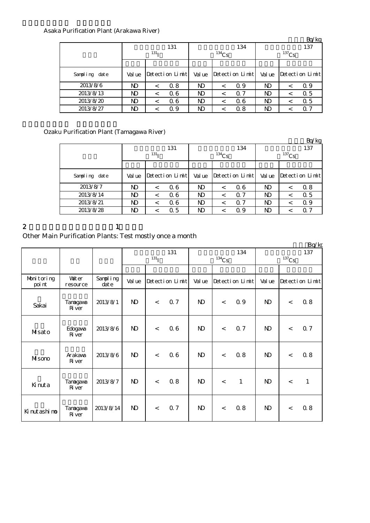## Asaka Purification Plant (Arakawa River)

|               |                  |         |                      |              |            |                 |                |         | Bq/kg           |  |
|---------------|------------------|---------|----------------------|--------------|------------|-----------------|----------------|---------|-----------------|--|
|               |                  |         | 131                  |              |            | 134             | 137            |         |                 |  |
|               | 131 <sub>T</sub> |         |                      |              | $^{134}Cs$ |                 | $137$ Cs       |         |                 |  |
|               |                  |         |                      |              |            |                 |                |         |                 |  |
| Sampling date | Val ue           |         | $Detecti$ on $Limit$ | Val ue       |            | Detection Limit | Val ue         |         | Detection Limit |  |
| 2013/8/6      | ND.              | $\,<\,$ | 0.8                  | ND           | $\,<\,$    | 0.9             | N <sub>D</sub> | $\,<\,$ | Q 9             |  |
| 2013/8/13     | ND.              | $\,<\,$ | 06                   | <b>ND</b>    | $\,<\,$    | $\Omega$ 7      | ND             | $\,<\,$ | 0.5             |  |
| 2013/8/20     | ND.              | $\,<\,$ | 06                   | ND           | $\,<\,$    | 06              | ND             | $\,<\,$ | 0.5             |  |
| 2013/8/27     | ND.              |         | Q 9                  | $\mathbf{D}$ | $\,<\,$    | 0.8             | ND             | $\,<$   | 0.7             |  |

## Ozaku Purification Plant (Tamagawa River)

|               |                  |         |                 |                |          |                 |                |         | Bq/kg           |  |
|---------------|------------------|---------|-----------------|----------------|----------|-----------------|----------------|---------|-----------------|--|
|               |                  |         | 131             |                |          | 134             | 137            |         |                 |  |
|               | 131 <sub>T</sub> |         |                 |                | $134$ Cs |                 | $137$ Cs       |         |                 |  |
|               |                  |         |                 |                |          |                 |                |         |                 |  |
| Sampling date | Val ue           |         | Detection Limit | Val ue         |          | Detection Limit | Val ue         |         | Detection Limit |  |
| 2013/8/7      | ND               | $\,<\,$ | 06              | N <sub>D</sub> | $\,<\,$  | 06              | ND.            | $\,<\,$ | 0.8             |  |
| 2013/8/14     | ND               | $\,<\,$ | 06              | N <sub>D</sub> | $\,<\,$  | Q <sub>7</sub>  | N <sub>D</sub> | $\,<\,$ | 0.5             |  |
| 2013/8/21     | ND               | $\,<\,$ | 06              | ND             | $\,<\,$  | Q <sub>7</sub>  | ND             | $\,<\,$ | Q 9             |  |
| 2013/8/28     | ND               | <       | 0.5             | ND             | $\,<\,$  | 0.9             | ND             | <       | 0.7             |  |

#### 2 and  $\lambda$  1

# Other Main Purification Plants: Test mostly once a month

|                      |                           |                      |              |            |                 |              |          |                 |              |          | Bq/kg           |
|----------------------|---------------------------|----------------------|--------------|------------|-----------------|--------------|----------|-----------------|--------------|----------|-----------------|
|                      |                           |                      |              |            | 131             |              |          | 134             |              |          | 137             |
|                      |                           |                      |              | $^{131}$ I |                 |              | $134$ Cs |                 |              | $137$ Cs |                 |
|                      |                           |                      |              |            |                 |              |          |                 |              |          |                 |
| Monitoring<br>poi nt | <b>Vater</b><br>resource  | Sampling<br>$\det e$ | Val ue       |            | Detection Limit | Val ue       |          | Detection Limit | Val ue       |          | Detection Limit |
| Sakai                | Tanagawa<br>River         | 2013/8/1             | $\mathbf{D}$ | $\lt$      | 0.7             | $\mathbf{D}$ | $\lt$    | 0.9             | $\mathbf{D}$ | $\lt$    | 0.8             |
| Musato               | Edogava<br><b>R</b> iver  | 2013/8/6             | $\mathbf{D}$ | $\lt$      | 06              | $\mathbf{D}$ | $\lt$    | 0.7             | $\mathbf{D}$ | $\lt$    | 0.7             |
| Misono               | Arakawa<br><b>R</b> iver  | 2013/8/6             | $\mathbf{D}$ | $\,<$      | 06              | $\mathbf{D}$ | $\lt$    | 0.8             | $\mathbf{D}$ | $\lt$    | 0.8             |
| Kinuta               | Tanagawa<br><b>R</b> iver | 2013/8/7             | $\mathbf{D}$ | $\lt$      | 0.8             | $\mathbf{D}$ | $\lt$    | $\mathbf{1}$    | $\mathbf{D}$ | $\lt$    | $\mathbf{1}$    |
| Ki nut ashi no       | Tanagawa<br>$Ri$ ver      | 2013/8/14            | $\mathbf{D}$ | $\,<\,$    | 0.7             | $\mathbf{N}$ | $\lt$    | 0.8             | $\mathbf{D}$ | $\lt$    | 0.8             |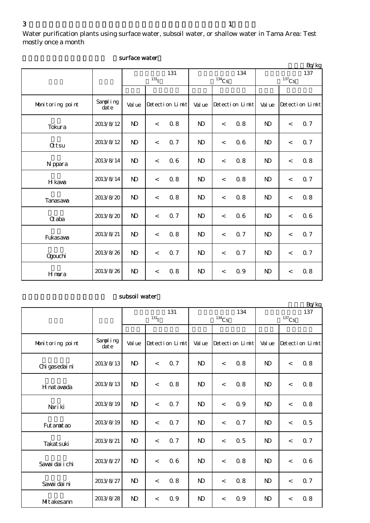Water purification plants using surface water, subsoil water, or shallow water in Tama Area: Test mostly once a month

|                  |                   |                |                  |                 |                |          |                 |                |                     | Bq/kg           |
|------------------|-------------------|----------------|------------------|-----------------|----------------|----------|-----------------|----------------|---------------------|-----------------|
|                  |                   |                | 131 <sub>I</sub> | 131             |                | $134$ Cs | 134             |                | $^{137}\mathrm{Cs}$ | 137             |
|                  |                   |                |                  |                 |                |          |                 |                |                     |                 |
| Monitoring point | Sampling<br>dat e | Val ue         |                  | Detection Limit | Val ue         |          | Detection Limit | Val ue         |                     | Detection Limit |
| Tokura           | 2013/8/12         | $\mathbf{D}$   | $\lt$            | 0.8             | N <sub>D</sub> | $\,<\,$  | 0.8             | $\mathbf{N}$   | $\lt$               | 0.7             |
| <b>Qtsu</b>      | 2013/8/12         | $\mathbf{D}$   | $\,<$            | 0.7             | N <sub>D</sub> | $\lt$    | 06              | $\mathbf{D}$   | $\lt$               | 0.7             |
| N ppara          | 2013/8/14         | $\mathbf{N}$   | $\,<$            | 06              | N <sub>D</sub> | $\lt$    | 0.8             | $\mathbf{N}$   | $\lt$               | 0.8             |
| H kava           | 2013/8/14         | $\mathbf{D}$   | $\,<$            | 0.8             | N <sub>D</sub> | $\,<$    | 0.8             | $\mathbf{D}$   | $\,<$               | 0.7             |
| Tanasawa         | 2013/8/20         | N <sub>D</sub> | $\prec$          | 0.8             | N <sub>D</sub> | $\lt$    | 0.8             | N <sub>D</sub> | $\lt$               | 0.8             |
| <b>G</b> aba     | 2013/8/20         | $\mathbf{D}$   | $\,<$            | 0.7             | $\mathbf{N}$   | $\lt$    | 06              | $\mathbf{D}$   | $\lt$               | 06              |
| Fukasava         | 2013/8/21         | $\mathbf{N}$   | $\,<$            | 0.8             | N <sub>D</sub> | $\lt$    | 0.7             | $\mathbf{N}$   | $\lt$               | 0.7             |
| Qgouchi          | 2013/8/26         | $\mathbf{D}$   | $\,<$            | 0.7             | N <sub>D</sub> | $\lt$    | 0.7             | $\mathbf{N}$   | $\lt$               | 0.7             |
| Hmura            | 2013/8/26         | $\mathbf{D}$   | $\,<\,$          | 0.8             | $\mathbf{N}$   | $\lt$    | 0.9             | $\mathbf{N}$   | $\,<\,$             | 0.8             |

## surface water

## subsoil water

|                  |                   |                |                  |                 |                |          |                 |              |          | Bq/kg           |
|------------------|-------------------|----------------|------------------|-----------------|----------------|----------|-----------------|--------------|----------|-----------------|
|                  |                   |                |                  | 131             |                |          | 134             |              |          | 137             |
|                  |                   |                | 131 <sub>I</sub> |                 |                | $134$ Cs |                 |              | $137$ Cs |                 |
|                  |                   |                |                  |                 |                |          |                 |              |          |                 |
| Monitoring point | Sampling<br>dat e | Val ue         |                  | Detection Limit | Val ue         |          | Detection Limit | Val ue       |          | Detection Limit |
| Chi gasedai ni   | 2013/8/13         | $\mathbf{N}$   | $\,<$            | 0.7             | N <sub>D</sub> | $\lt$    | 0.8             | $\mathbf{N}$ | $\lt$    | 0.8             |
| H nat avada      | 2013/8/13         | $\mathbf{N}$   | $\,<$            | 0.8             | $\mathbf{N}$   | $\lt$    | 0.8             | $\mathbf{N}$ | $\,<$    | 0.8             |
| Nari ki          | 2013/8/19         | N <sub>D</sub> | $\,<$            | 0.7             | N <sub>D</sub> | $\lt$    | 0.9             | <b>ND</b>    | $\,<$    | 0.8             |
| Fut anat ao      | 2013/8/19         | $\mathbf{N}$   | $\lt$            | 0.7             | N <sub>D</sub> | $\lt$    | 0.7             | $\mathbf{N}$ | $\,<$    | 0.5             |
| Takat suki       | 2013/8/21         | N <sub>D</sub> | $\lt$            | 0.7             | N <sub>D</sub> | $\lt$    | $\alpha$ 5      | <b>ND</b>    | $\,<$    | 0.7             |
| Savai dai i chi  | 2013/8/27         | $\mathbf{D}$   | $\,<$            | 06              | N <sub>D</sub> | $\lt$    | 0.8             | $\mathbf{N}$ | $\,<$    | 06              |
| Savai dai ni     | 2013/8/27         | $\mathbf{N}$   | $\lt$            | 0.8             | N <sub>D</sub> | $\lt$    | 0.8             | $\mathbf{N}$ | $\lt$    | 0.7             |
| MItakesann       | 2013/8/28         | $\mathbf{N}$   | $\,<$            | 0.9             | N <sub>D</sub> | $\,<\,$  | 0.9             | $\mathbf{N}$ | $\,<\,$  | 0.8             |